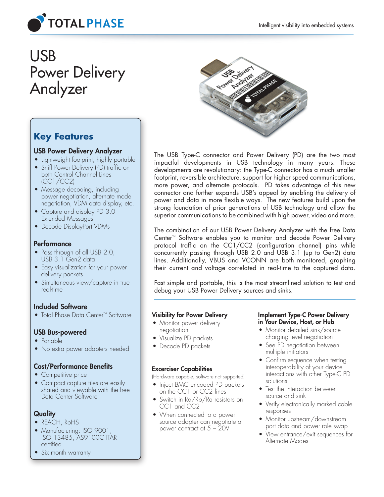

# USB Power Delivery Analyzer



# **Key Features**

# USB Power Delivery Analyzer

- Lightweight footprint, highly portable
- Sniff Power Delivery (PD) traffic on both Control Channel Lines (CC1/CC2)
- Message decoding, including power negotiation, alternate mode negotiation, VDM data display, etc.
- Capture and display PD 3.0 Extended Messages
- Decode DisplayPort VDMs

# **Performance**

- Pass through of all USB 2.0, USB 3.1 Gen2 data
- Easy visualization for your power delivery packets
- Simultaneous view/capture in true real-time

# Included Software

• Total Phase Data Center™ Software

# USB Bus-powered

- Portable
- No extra power adapters needed

# Cost/Performance Benefits

- Competitive price
- Compact capture files are easily shared and viewable with the free Data Center Software

# **Quality**

- REACH, RoHS
- Manufacturing: ISO 9001, ISO 13485, AS9100C ITAR certified
- Six month warranty

The USB Type-C connector and Power Delivery (PD) are the two most impactful developments in USB technology in many years. These developments are revolutionary: the Type-C connector has a much smaller footprint, reversible architecture, support for higher speed communications, more power, and alternate protocols. PD takes advantage of this new connector and further expands USB's appeal by enabling the delivery of power and data in more flexible ways. The new features build upon the strong foundation of prior generations of USB technology and allow the superior communications to be combined with high power, video and more.

The combination of our USB Power Delivery Analyzer with the free Data Center™ Software enables you to monitor and decode Power Delivery protocol traffic on the CC1/CC2 (configuration channel) pins while concurrently passing through USB 2.0 and USB 3.1 (up to Gen2) data lines. Additionally, VBUS and VCONN are both monitored, graphing their current and voltage correlated in real-time to the captured data.

Fast simple and portable, this is the most streamlined solution to test and debug your USB Power Delivery sources and sinks.

# Visibility for Power Delivery

- Monitor power delivery negotiation
- Visualize PD packets
- Decode PD packets

# Excerciser Capabilities

(Hardware capable, software not supported)

- Inject BMC encoded PD packets on the CC1 or CC2 lines
- Switch in Rd/Rp/Ra resistors on CC1 and CC2
- When connected to a power source adapter can negotiate a power contract at 5 – 20V

#### Implement Type-C Power Delivery in Your Device, Host, or Hub

- Monitor detailed sink/source charging level negotiation
- See PD negotiation between multiple initiators
- Confirm sequence when testing interoperability of your device interactions with other Type-C PD solutions
- Test the interaction between source and sink
- Verify electronically marked cable responses
- Monitor upstream/downstream port data and power role swap
- View entrance/exit sequences for Alternate Modes